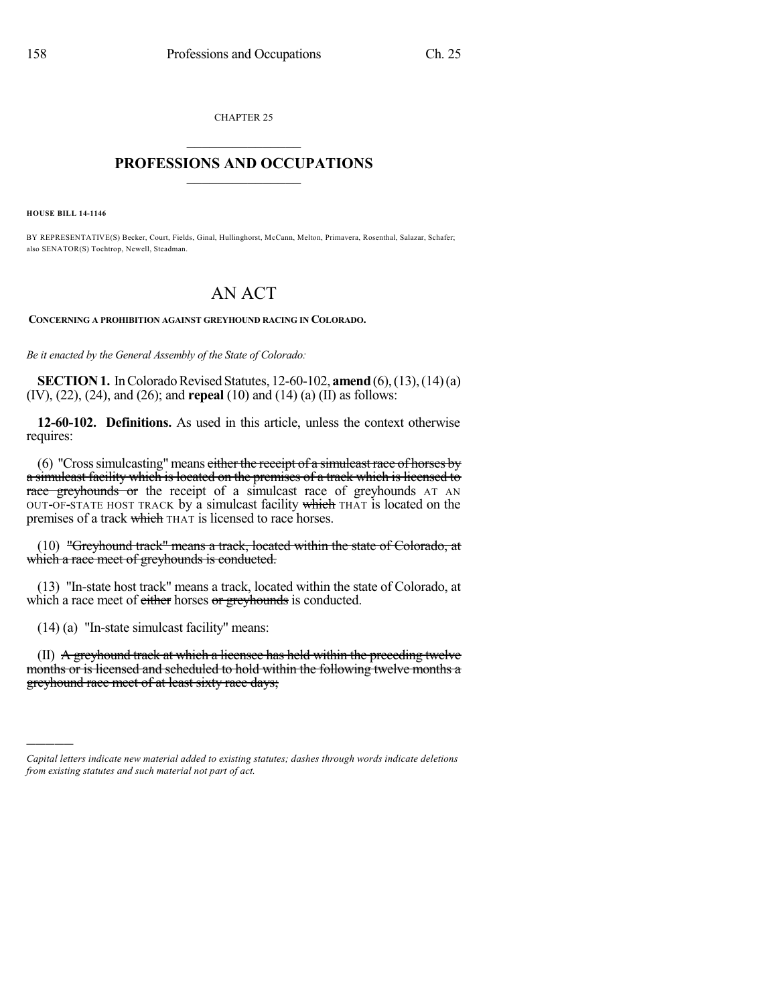CHAPTER 25  $\overline{\phantom{a}}$  . The set of the set of the set of the set of the set of the set of the set of the set of the set of the set of the set of the set of the set of the set of the set of the set of the set of the set of the set o

## **PROFESSIONS AND OCCUPATIONS**  $\frac{1}{2}$  ,  $\frac{1}{2}$  ,  $\frac{1}{2}$  ,  $\frac{1}{2}$  ,  $\frac{1}{2}$  ,  $\frac{1}{2}$  ,  $\frac{1}{2}$

**HOUSE BILL 14-1146**

)))))

BY REPRESENTATIVE(S) Becker, Court, Fields, Ginal, Hullinghorst, McCann, Melton, Primavera, Rosenthal, Salazar, Schafer; also SENATOR(S) Tochtrop, Newell, Steadman.

## AN ACT

**CONCERNING A PROHIBITION AGAINST GREYHOUND RACING IN COLORADO.**

*Be it enacted by the General Assembly of the State of Colorado:*

**SECTION 1.** In Colorado Revised Statutes, 12-60-102, **amend** (6), (13), (14) (a) (IV), (22), (24), and (26); and **repeal** (10) and (14) (a) (II) as follows:

**12-60-102. Definitions.** As used in this article, unless the context otherwise requires:

(6) "Cross simulcasting" means either the receipt of a simulcast race of horses by a simulcast facility which is located on the premises of a track which is licensed to race greyhounds or the receipt of a simulcast race of greyhounds AT AN OUT-OF-STATE HOST TRACK by a simulcast facility which THAT is located on the premises of a track which THAT is licensed to race horses.

(10) "Greyhound track" means a track, located within the state of Colorado, at which a race meet of greyhounds is conducted.

(13) "In-state host track" means a track, located within the state of Colorado, at which a race meet of either horses or greyhounds is conducted.

(14) (a) "In-state simulcast facility" means:

(II) A greyhound track at which a licensee has held within the preceding twelve months or is licensed and scheduled to hold within the following twelve months a greyhound race meet of at least sixty race days;

*Capital letters indicate new material added to existing statutes; dashes through words indicate deletions from existing statutes and such material not part of act.*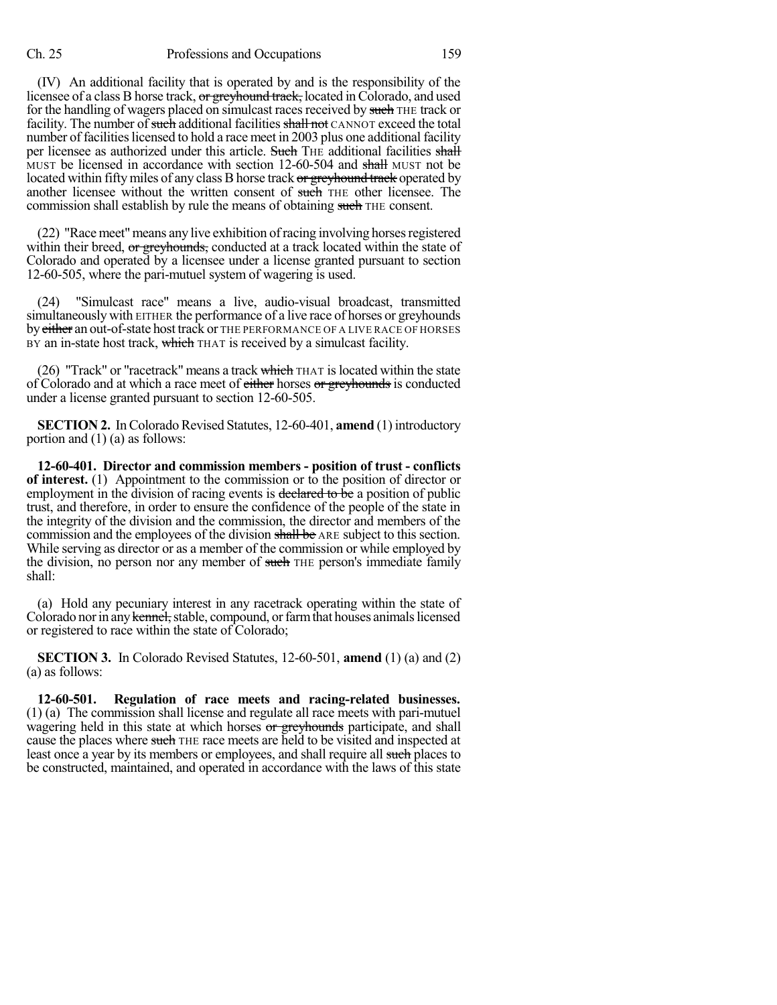## Ch. 25 Professions and Occupations 159

(IV) An additional facility that is operated by and is the responsibility of the licensee of a class B horse track, or greyhound track, located in Colorado, and used for the handling of wagers placed on simulcast races received by such THE track or facility. The number of such additional facilities shall not CANNOT exceed the total number of facilities licensed to hold a race meet in 2003 plus one additional facility per licensee as authorized under this article. Such THE additional facilities shall MUST be licensed in accordance with section 12-60-504 and shall MUST not be located within fifty miles of any class B horse track or greyhound track operated by another licensee without the written consent of such THE other licensee. The commission shall establish by rule the means of obtaining such THE consent.

 $(22)$  "Race meet" means any live exhibition of racing involving horses registered within their breed, or greyhounds, conducted at a track located within the state of Colorado and operated by a licensee under a license granted pursuant to section 12-60-505, where the pari-mutuel system of wagering is used.

(24) "Simulcast race" means a live, audio-visual broadcast, transmitted simultaneously with EITHER the performance of a live race of horses or greyhounds by either an out-of-state host track or THE PERFORMANCE OF A LIVE RACE OF HORSES BY an in-state host track, which THAT is received by a simulcast facility.

(26) "Track" or "racetrack" means a track which  $THAT$  is located within the state of Colorado and at which a race meet of either horses or greyhounds is conducted under a license granted pursuant to section 12-60-505.

**SECTION 2.** In Colorado Revised Statutes, 12-60-401, **amend** (1) introductory portion and (1) (a) as follows:

**12-60-401. Director and commission members - position of trust - conflicts of interest.** (1) Appointment to the commission or to the position of director or employment in the division of racing events is declared to be a position of public trust, and therefore, in order to ensure the confidence of the people of the state in the integrity of the division and the commission, the director and members of the commission and the employees of the division shall be ARE subject to this section. While serving as director or as a member of the commission or while employed by the division, no person nor any member of such THE person's immediate family shall:

(a) Hold any pecuniary interest in any racetrack operating within the state of Colorado nor in any kennel, stable, compound, or farm that houses animals licensed or registered to race within the state of Colorado;

**SECTION 3.** In Colorado Revised Statutes, 12-60-501, **amend** (1) (a) and (2) (a) as follows:

**12-60-501. Regulation of race meets and racing-related businesses.** (1) (a) The commission shall license and regulate all race meets with pari-mutuel wagering held in this state at which horses or greyhounds participate, and shall cause the places where such THE race meets are held to be visited and inspected at least once a year by its members or employees, and shall require all such places to be constructed, maintained, and operated in accordance with the laws of this state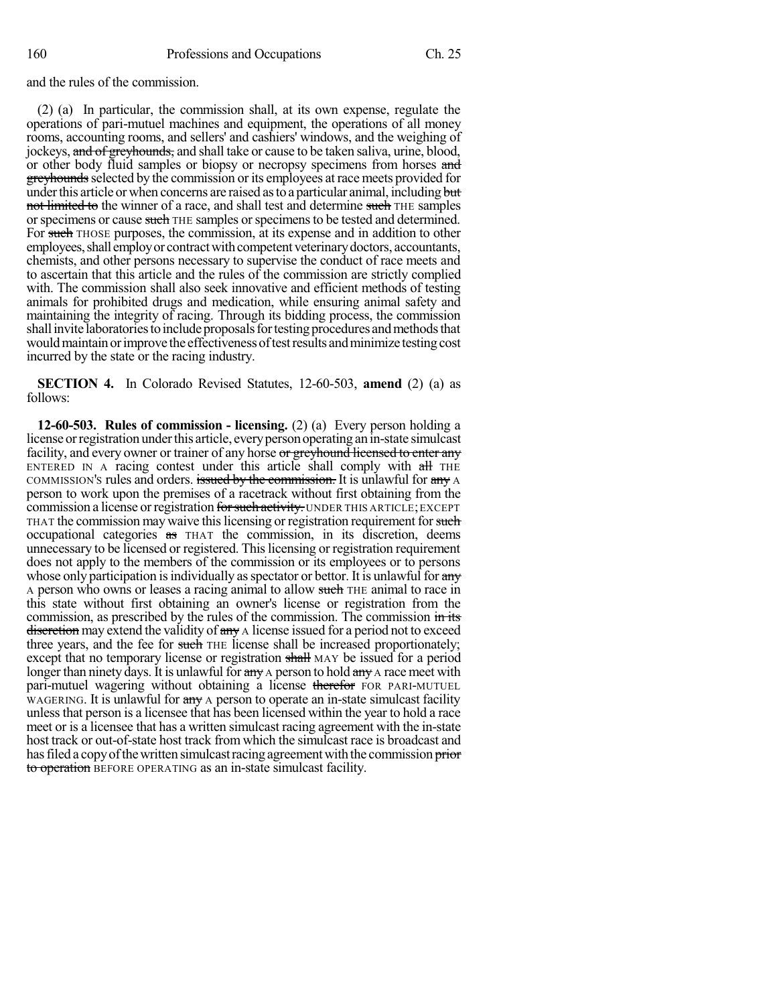and the rules of the commission.

(2) (a) In particular, the commission shall, at its own expense, regulate the operations of pari-mutuel machines and equipment, the operations of all money rooms, accounting rooms, and sellers' and cashiers' windows, and the weighing of jockeys, and of greyhounds, and shall take or cause to be taken saliva, urine, blood, or other body fluid samples or biopsy or necropsy specimens from horses and greyhounds selected by the commission or its employees at race meets provided for under this article or when concerns are raised as to a particular animal, including but not limited to the winner of a race, and shall test and determine such THE samples or specimens or cause such THE samples or specimens to be tested and determined. For such THOSE purposes, the commission, at its expense and in addition to other employees, shall employ or contract with competent veterinary doctors, accountants, chemists, and other persons necessary to supervise the conduct of race meets and to ascertain that this article and the rules of the commission are strictly complied with. The commission shall also seek innovative and efficient methods of testing animals for prohibited drugs and medication, while ensuring animal safety and maintaining the integrity of racing. Through its bidding process, the commission shall invite laboratories to include proposals for testing procedures and methods that would maintain or improve the effectiveness of test results and minimize testing cost incurred by the state or the racing industry.

**SECTION 4.** In Colorado Revised Statutes, 12-60-503, **amend** (2) (a) as follows:

**12-60-503. Rules of commission - licensing.** (2) (a) Every person holding a license or registration under this article, every person operating an in-state simulcast facility, and every owner or trainer of any horse or greyhound licensed to enter any ENTERED IN A racing contest under this article shall comply with all THE COMMISSION's rules and orders. issued by the commission. It is unlawful for any A person to work upon the premises of a racetrack without first obtaining from the commission a license or registration for such activity. UNDER THIS ARTICLE; EXCEPT THAT the commission may waive this licensing or registration requirement for such occupational categories as THAT the commission, in its discretion, deems unnecessary to be licensed or registered. Thislicensing or registration requirement does not apply to the members of the commission or its employees or to persons whose only participation is individually as spectator or bettor. It is unlawful for any A person who owns or leases a racing animal to allow such THE animal to race in this state without first obtaining an owner's license or registration from the commission, as prescribed by the rules of the commission. The commission in its discretion may extend the validity of any A license issued for a period not to exceed three years, and the fee for such THE license shall be increased proportionately; except that no temporary license or registration shall MAY be issued for a period longer than ninety days. It is unlawful for any A person to hold any A race meet with pari-mutuel wagering without obtaining a license therefor FOR PARI-MUTUEL WAGERING. It is unlawful for  $\frac{m}{x}$  a person to operate an in-state simulcast facility unlessthat person is a licensee that has been licensed within the year to hold a race meet or is a licensee that has a written simulcast racing agreement with the in-state host track or out-of-state host track from which the simulcast race is broadcast and has filed a copy of the written simulcast racing agreement with the commission prior to operation BEFORE OPERATING as an in-state simulcast facility.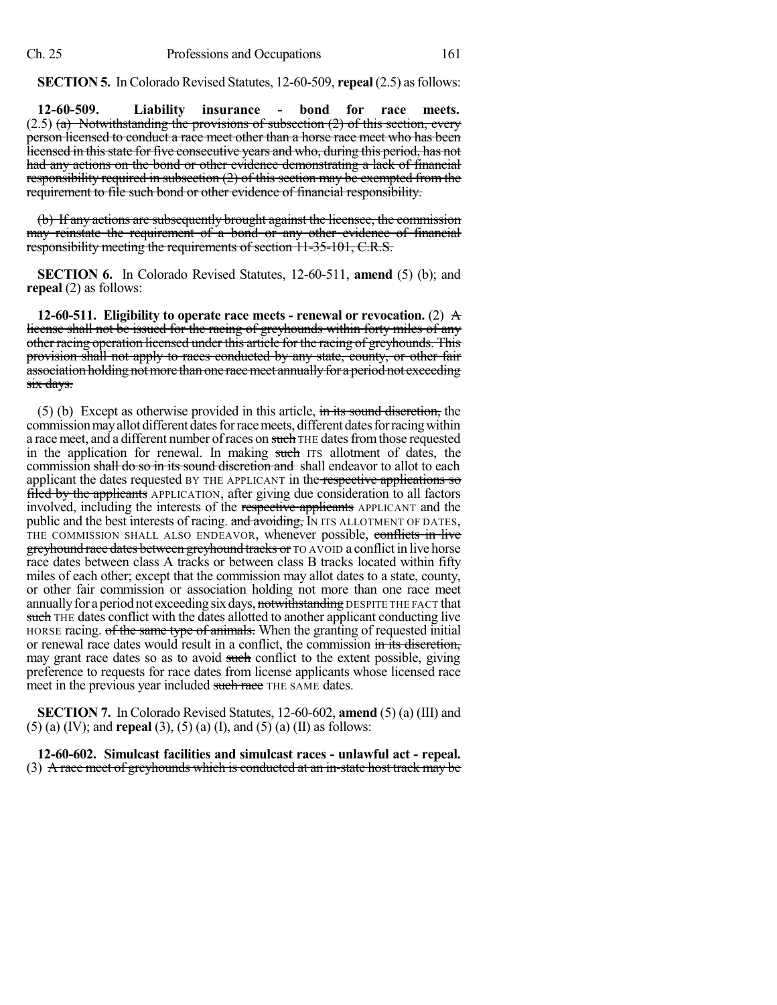**SECTION 5.** In Colorado Revised Statutes, 12-60-509, **repeal** (2.5) as follows:

**12-60-509. Liability insurance - bond for race meets.**  $(2.5)$  (a) Notwithstanding the provisions of subsection  $(2)$  of this section, every person licensed to conduct a race meet other than a horse race meet who has been licensed in thisstate for five consecutive years and who, during this period, has not had any actions on the bond or other evidence demonstrating a lack of financial responsibility required in subsection (2) of this section may be exempted from the requirement to file such bond or other evidence of financial responsibility.

(b) If any actions are subsequently brought against the licensee, the commission may reinstate the requirement of a bond or any other evidence of financial responsibility meeting the requirements of section 11-35-101, C.R.S.

**SECTION 6.** In Colorado Revised Statutes, 12-60-511, **amend** (5) (b); and **repeal** (2) as follows:

**12-60-511. Eligibility to operate race meets - renewal or revocation.** (2) A license shall not be issued for the racing of greyhounds within forty miles of any other racing operation licensed under this article for the racing of greyhounds. This provision shall not apply to races conducted by any state, county, or other fair association holding not more than one race meet annually for a period not exceeding six days.

 $(5)$  (b) Except as otherwise provided in this article, in its sound discretion, the commission may allot different dates for race meets, different dates for racing within a race meet, and a different number of races on such THE dates from those requested in the application for renewal. In making such ITS allotment of dates, the commission shall do so in its sound discretion and shall endeavor to allot to each applicant the dates requested BY THE APPLICANT in the respective applications so filed by the applicants APPLICATION, after giving due consideration to all factors involved, including the interests of the respective applicants APPLICANT and the public and the best interests of racing. and avoiding, IN ITS ALLOTMENT OF DATES, THE COMMISSION SHALL ALSO ENDEAVOR, whenever possible, conflicts in live greyhound race dates between greyhound tracks or TO AVOID a conflict in live horse race dates between class A tracks or between class B tracks located within fifty miles of each other; except that the commission may allot dates to a state, county, or other fair commission or association holding not more than one race meet annually for a period not exceeding six days, not with standing DESPITE THE FACT that such THE dates conflict with the dates allotted to another applicant conducting live HORSE racing. of the same type of animals. When the granting of requested initial or renewal race dates would result in a conflict, the commission in its discretion, may grant race dates so as to avoid such conflict to the extent possible, giving preference to requests for race dates from license applicants whose licensed race meet in the previous year included such race THE SAME dates.

**SECTION 7.** In Colorado Revised Statutes, 12-60-602, **amend** (5) (a) (III) and (5) (a) (IV); and **repeal** (3), (5) (a) (I), and (5) (a) (II) as follows:

**12-60-602. Simulcast facilities and simulcast races - unlawful act - repeal.** (3) A race meet of greyhounds which is conducted at an in-state host track may be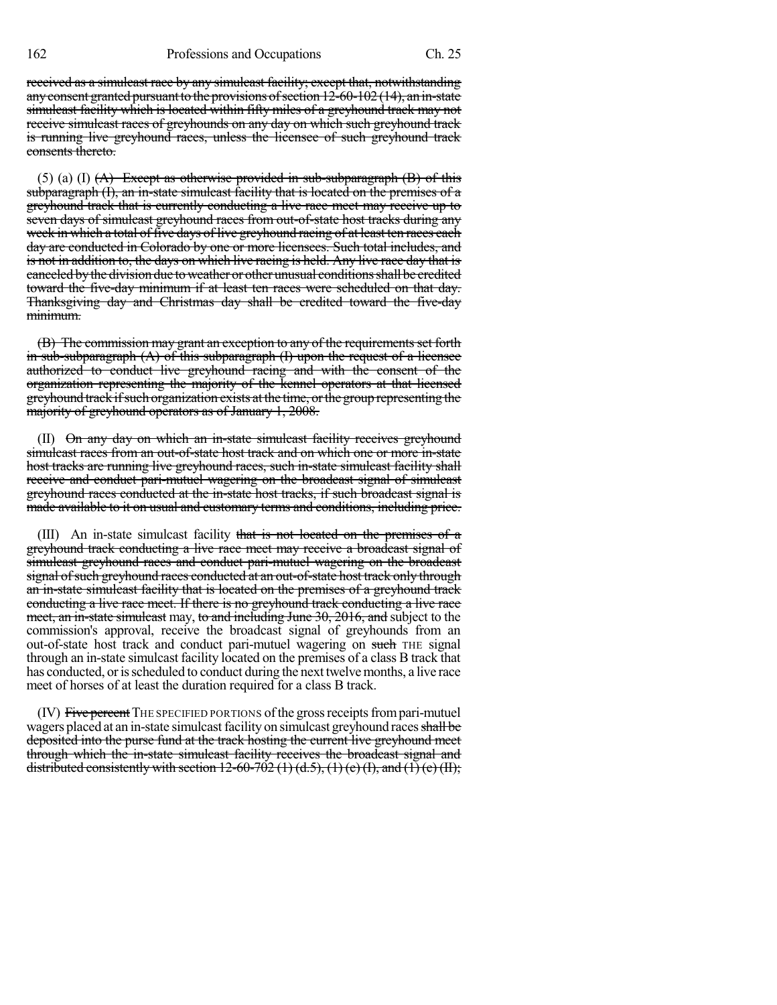received as a simulcast race by any simulcast facility; except that, notwithstanding any consent granted pursuant to the provisions of section  $12-60-102$  (14), an in-state simulcast facility which is located within fifty miles of a greyhound track may not receive simulcast races of greyhounds on any day on which such greyhound track is running live greyhound races, unless the licensee of such greyhound track consents thereto.

(5) (a) (I)  $(A)$  Except as otherwise provided in sub-subparagraph  $(B)$  of this subparagraph (I), an in-state simulcast facility that is located on the premises of a greyhound track that is currently conducting a live race meet may receive up to seven days of simulcast greyhound races from out-of-state host tracks during any week in which a total of five days of live greyhound racing of at least ten races each day are conducted in Colorado by one or more licensees. Such total includes, and is not in addition to, the days on which live racing is held. Any live race day that is canceled by the division due to weather or other unusual conditions shall be credited toward the five-day minimum if at least ten races were scheduled on that day. Thanksgiving day and Christmas day shall be credited toward the five-day minimum.

(B) The commission may grant an exception to any of the requirements set forth in sub-subparagraph (A) of this subparagraph (I) upon the request of a licensee authorized to conduct live greyhound racing and with the consent of the organization representing the majority of the kennel operators at that licensed greyhound track ifsuch organization exists at the time, orthegroup representing the majority of greyhound operators as of January 1, 2008.

(II) On any day on which an in-state simulcast facility receives greyhound simulcast races from an out-of-state host track and on which one or more in-state host tracks are running live greyhound races, such in-state simulcast facility shall receive and conduct pari-mutuel wagering on the broadcast signal of simulcast greyhound races conducted at the in-state host tracks, if such broadcast signal is made available to it on usual and customary terms and conditions, including price.

(III) An in-state simulcast facility that is not located on the premises of a greyhound track conducting a live race meet may receive a broadcast signal of simulcast greyhound races and conduct pari-mutuel wagering on the broadcast signal of such greyhound races conducted at an out-of-state host track only through an in-state simulcast facility that is located on the premises of a greyhound track conducting a live race meet. If there is no greyhound track conducting a live race meet, an in-state simulcast may, to and including June 30, 2016, and subject to the commission's approval, receive the broadcast signal of greyhounds from an out-of-state host track and conduct pari-mutuel wagering on such THE signal through an in-state simulcast facility located on the premises of a class B track that has conducted, or is scheduled to conduct during the next twelve months, a live race meet of horses of at least the duration required for a class B track.

(IV) Five percent THE SPECIFIED PORTIONS of the gross receipts from pari-mutuel wagers placed at an in-state simulcast facility on simulcast greyhound races shall be deposited into the purse fund at the track hosting the current live greyhound meet through which the in-state simulcast facility receives the broadcast signal and distributed consistently with section 12-60-702 (1) (d.5), (1) (e) (I), and (1) (e) (II);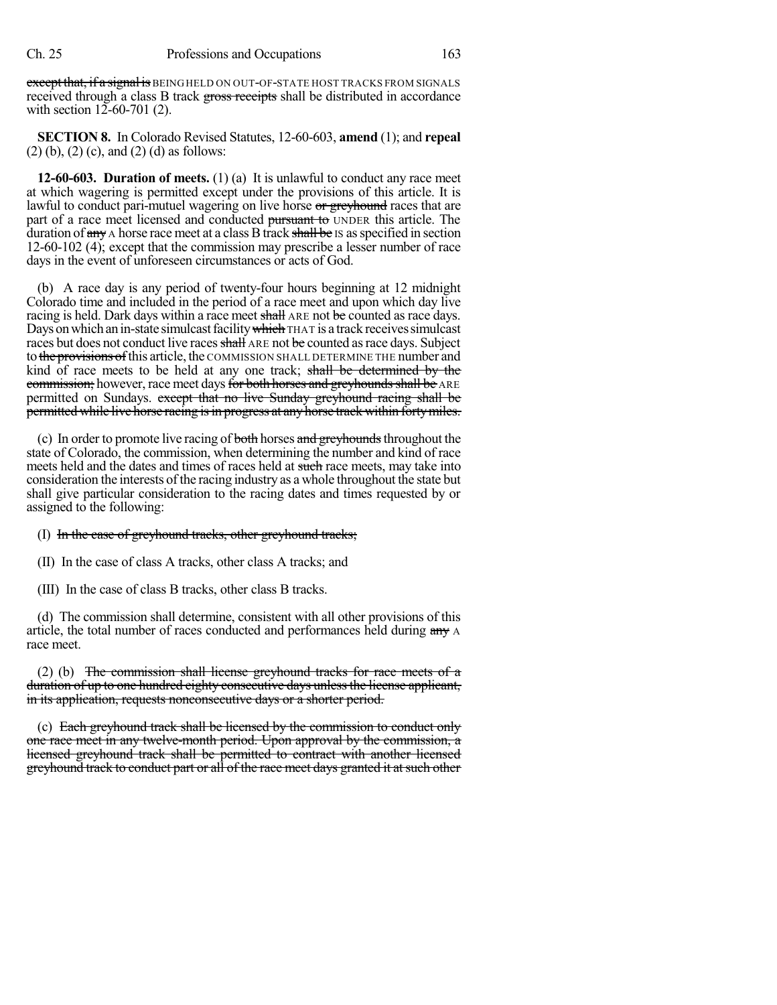except that, if a signal is BEINGHELD ON OUT-OF-STATE HOST TRACKS FROM SIGNALS received through a class B track gross receipts shall be distributed in accordance with section 12-60-701 (2).

**SECTION 8.** In Colorado Revised Statutes, 12-60-603, **amend** (1); and **repeal** (2) (b), (2) (c), and (2) (d) as follows:

**12-60-603. Duration of meets.** (1) (a) It is unlawful to conduct any race meet at which wagering is permitted except under the provisions of this article. It is lawful to conduct pari-mutuel wagering on live horse or greyhound races that are part of a race meet licensed and conducted pursuant to UNDER this article. The duration of  $\frac{any}{any}$  A horse race meet at a class B track  $\frac{shall}_{i}$  be Is as specified in section 12-60-102 (4); except that the commission may prescribe a lesser number of race days in the event of unforeseen circumstances or acts of God.

(b) A race day is any period of twenty-four hours beginning at 12 midnight Colorado time and included in the period of a race meet and upon which day live racing is held. Dark days within a race meet shall ARE not be counted as race days. Days on which an in-state simulcast facility which THAT is a track receives simulcast races but does not conduct live races shall ARE not be counted as race days. Subject to the provisions of this article, the COMMISSION SHALL DETERMINE THE number and kind of race meets to be held at any one track; shall be determined by the commission; however, race meet days for both horses and greyhounds shall be ARE permitted on Sundays. except that no live Sunday greyhound racing shall be permitted while live horse racing is in progress at any horse track within forty miles.

(c) In order to promote live racing of both horses and greyhounds throughout the state of Colorado, the commission, when determining the number and kind of race meets held and the dates and times of races held at such race meets, may take into consideration the interests of the racing industry as a whole throughout the state but shall give particular consideration to the racing dates and times requested by or assigned to the following:

(I) In the case of greyhound tracks, other greyhound tracks;

(II) In the case of class A tracks, other class A tracks; and

(III) In the case of class B tracks, other class B tracks.

(d) The commission shall determine, consistent with all other provisions of this article, the total number of races conducted and performances held during any A race meet.

(2) (b) The commission shall license greyhound tracks for race meets of a duration of up to one hundred eighty consecutive days unlessthe license applicant, in its application, requests nonconsecutive days or a shorter period.

(c) Each greyhound track shall be licensed by the commission to conduct only one race meet in any twelve-month period. Upon approval by the commission, a licensed greyhound track shall be permitted to contract with another licensed greyhound track to conduct part or all of the race meet days granted it at such other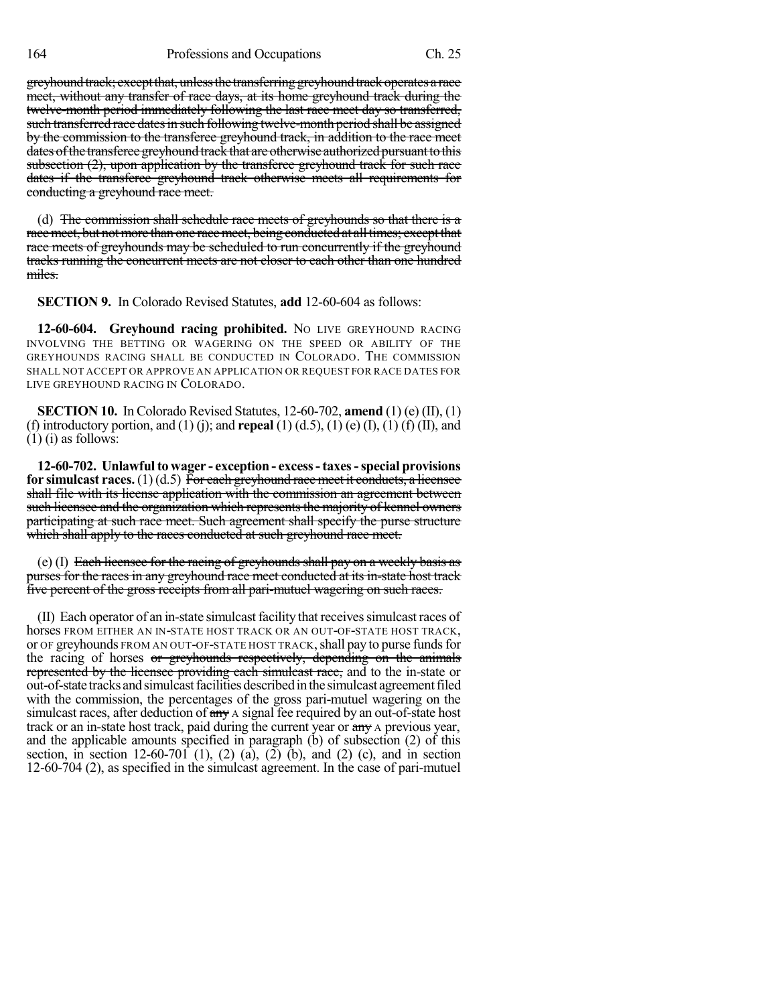greyhound track; except that, unless the transferring greyhound track operates a race meet, without any transfer of race days, at its home greyhound track during the twelve-month period immediately following the last race meet day so transferred, such transferred race dates in such following twelve-month period shall be assigned by the commission to the transferee greyhound track, in addition to the race meet dates of the transferee greyhound track that are otherwise authorized pursuant to this subsection (2), upon application by the transferee greyhound track for such race dates if the transferee greyhound track otherwise meets all requirements for conducting a greyhound race meet.

(d) The commission shall schedule race meets of greyhounds so that there is a race meet, but not more than one race meet, being conducted at all times; except that race meets of greyhounds may be scheduled to run concurrently if the greyhound tracks running the concurrent meets are not closer to each other than one hundred miles.

**SECTION 9.** In Colorado Revised Statutes, **add** 12-60-604 as follows:

**12-60-604. Greyhound racing prohibited.** No LIVE GREYHOUND RACING INVOLVING THE BETTING OR WAGERING ON THE SPEED OR ABILITY OF THE GREYHOUNDS RACING SHALL BE CONDUCTED IN COLORADO. THE COMMISSION SHALL NOT ACCEPT OR APPROVE AN APPLICATION OR REQUEST FOR RACE DATES FOR LIVE GREYHOUND RACING IN COLORADO.

**SECTION 10.** In Colorado Revised Statutes, 12-60-702, **amend** (1) (e) (II), (1) (f) introductory portion, and (1) (j); and **repeal** (1) (d.5), (1) (e) (I), (1) (f) (II), and  $(1)$  (i) as follows:

**12-60-702. Unlawfulto wager - exception - excess- taxes-special provisions for simulcast races.** (1) (d.5) For each greyhound race meet it conducts, a licensee shall file with its license application with the commission an agreement between such licensee and the organization which represents the majority of kennel owners participating at such race meet. Such agreement shall specify the purse structure which shall apply to the races conducted at such greyhound race meet.

(e) (I) Each licensee for the racing of greyhounds shall pay on a weekly basis as purses for the races in any greyhound race meet conducted at its in-state host track five percent of the gross receipts from all pari-mutuel wagering on such races.

(II) Each operator of an in-state simulcast facility that receives simulcast races of horses FROM EITHER AN IN-STATE HOST TRACK OR AN OUT-OF-STATE HOST TRACK, or OF greyhounds FROM AN OUT-OF-STATE HOST TRACK, shall pay to purse funds for the racing of horses or greyhounds respectively, depending on the animals represented by the licensee providing each simulcast race, and to the in-state or out-of-state tracks and simulcast facilities described in the simulcast agreement filed with the commission, the percentages of the gross pari-mutuel wagering on the simulcast races, after deduction of  $\frac{day}{x}$  A signal fee required by an out-of-state host track or an in-state host track, paid during the current year or  $\frac{day}{dx}$  a previous year, and the applicable amounts specified in paragraph (b) of subsection (2) of this section, in section 12-60-701 (1), (2) (a), (2) (b), and (2) (c), and in section 12-60-704 (2), as specified in the simulcast agreement. In the case of pari-mutuel